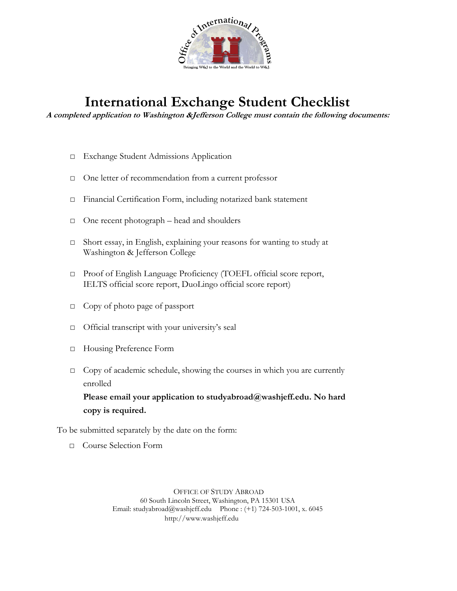

# **International Exchange Student Checklist**

**A completed application to Washington &Jefferson College must contain the following documents:** 

- □ Exchange Student Admissions Application
- □ One letter of recommendation from a current professor
- □ Financial Certification Form, including notarized bank statement
- □ One recent photograph head and shoulders
- □ Short essay, in English, explaining your reasons for wanting to study at Washington & Jefferson College
- □ Proof of English Language Proficiency (TOEFL official score report, IELTS official score report, DuoLingo official score report)
- □ Copy of photo page of passport
- □ Official transcript with your university's seal
- □ Housing Preference Form
- □ Copy of academic schedule, showing the courses in which you are currently enrolled

**Please email your application to studyabroad@washjeff.edu. No hard copy is required.**

To be submitted separately by the date on the form:

□ Course Selection Form

OFFICE OF STUDY ABROAD 60 South Lincoln Street, Washington, PA 15301 USA Email: studyabroad@washjeff.edu Phone : (+1) 724-503-1001, x. 6045 http://www.washjeff.edu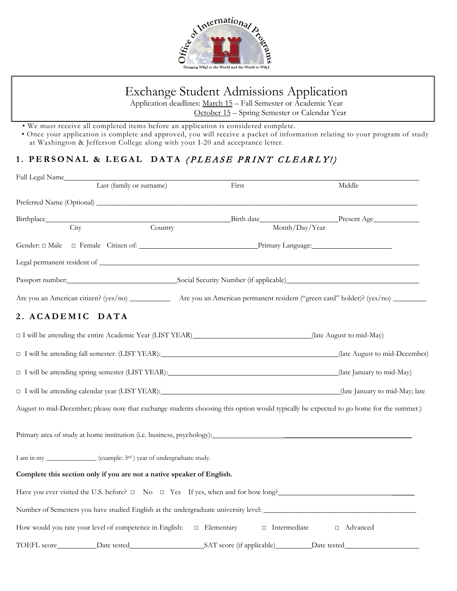

# Exchange Student Admissions Application

Application deadlines: March 15 – Fall Semester or Academic Year October 15 – Spring Semester or Calendar Year

- We must receive all completed items before an application is considered complete.
- Once your application is complete and approved, you will receive a packet of information relating to your program of study at Washington & Jefferson College along with your I-20 and acceptance letter.

# **1. PERSONAL & LEGAL DATA** ( PLEASE PRINT CLEARLY!)

| Full Legal Name                                                                     |                          |                                          |                                                                                                                                         |
|-------------------------------------------------------------------------------------|--------------------------|------------------------------------------|-----------------------------------------------------------------------------------------------------------------------------------------|
|                                                                                     | Last (family or surname) | First                                    | Middle                                                                                                                                  |
|                                                                                     |                          |                                          |                                                                                                                                         |
| Birthplace____                                                                      |                          |                                          | Birth date Present Age                                                                                                                  |
| City                                                                                | Country                  |                                          | Month/Day/Year                                                                                                                          |
|                                                                                     |                          |                                          |                                                                                                                                         |
|                                                                                     |                          |                                          |                                                                                                                                         |
|                                                                                     |                          |                                          | Passport number: Social Security Number (if applicable) Cases and Mumber (if applicable)                                                |
|                                                                                     |                          |                                          | Are you an American citizen? (yes/no) _____________ Are you an American permanent resident ("green card" holder)? (yes/no) _______      |
| 2. ACADEMIC DATA                                                                    |                          |                                          |                                                                                                                                         |
| □ I will be attending the entire Academic Year (LIST YEAR) (late August to mid-May) |                          |                                          |                                                                                                                                         |
|                                                                                     |                          |                                          | □ I will be attending fall semester. (LIST YEAR): (late August to mid-December)                                                         |
|                                                                                     |                          |                                          | □ I will be attending spring semester (LIST YEAR): (late January to mid-May)                                                            |
|                                                                                     |                          |                                          | □ I will be attending calendar year (LIST YEAR): (late January to mid-May; late                                                         |
|                                                                                     |                          |                                          | August to mid-December; please note that exchange students choosing this option would typically be expected to go home for the summer.) |
| Primary area of study at home institution (i.e. business, psychology):              |                          |                                          |                                                                                                                                         |
| I am in my ______________ (example: 3rd) year of undergraduate study.               |                          |                                          |                                                                                                                                         |
| Complete this section only if you are not a native speaker of English.              |                          |                                          |                                                                                                                                         |
|                                                                                     |                          |                                          | Have you ever visited the U.S. before? □ No □ Yes If yes, when and for how long?<br><br><u> </u>                                        |
|                                                                                     |                          |                                          | Number of Semesters you have studied English at the undergraduate university level: __________________________                          |
| How would you rate your level of competence in English:                             |                          | $\Box$ Elementary<br>$\Box$ Intermediate | □ Advanced                                                                                                                              |
|                                                                                     |                          |                                          |                                                                                                                                         |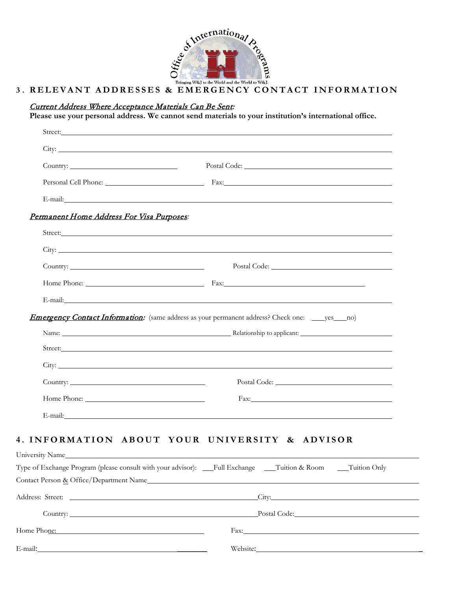

## **3 . RELEVANT ADDRESSES & EMERGENCY CONTACT INFORMATION**

#### Current Address Where Acceptance Materials Can Be Sent:

**Please use your personal address. We cannot send materials to your institution's international office.**

| Street: No. 2014 1996                                                                                     |                                                                                                                                                                                                                                      |
|-----------------------------------------------------------------------------------------------------------|--------------------------------------------------------------------------------------------------------------------------------------------------------------------------------------------------------------------------------------|
|                                                                                                           |                                                                                                                                                                                                                                      |
|                                                                                                           | Postal Code: New York Contract Code: New York Code: New York Code: New York Code: New York Code: New York Code: New York Code: New York Code: New York Code: New York Code: New York Code: New York Code: New York Code: New Y       |
|                                                                                                           |                                                                                                                                                                                                                                      |
|                                                                                                           | E-mail: and the contract of the contract of the contract of the contract of the contract of the contract of the contract of the contract of the contract of the contract of the contract of the contract of the contract of th       |
| Permanent Home Address For Visa Purposes:                                                                 |                                                                                                                                                                                                                                      |
|                                                                                                           |                                                                                                                                                                                                                                      |
|                                                                                                           |                                                                                                                                                                                                                                      |
|                                                                                                           |                                                                                                                                                                                                                                      |
|                                                                                                           |                                                                                                                                                                                                                                      |
|                                                                                                           |                                                                                                                                                                                                                                      |
| <b>Emergency Contact Information:</b> (same address as your permanent address? Check one: _____yes____no) |                                                                                                                                                                                                                                      |
|                                                                                                           |                                                                                                                                                                                                                                      |
|                                                                                                           |                                                                                                                                                                                                                                      |
|                                                                                                           | City: <u>City: City: City: City: City: City: City: City: City: City: City: City: City: City: City: City: City: City: City: City: City: City: City: City: City: City: City: City: City: City: City: City: City: City: City: City:</u> |
|                                                                                                           | Postal Code: New York Code: New York Code: New York Code: New York Code: New York Code: New York Code: New York Code: New York Code: New York Code: New York Code: New York Code: New York Code: New York Code: New York Code:       |
| Home Phone:                                                                                               | Fax: Fax:                                                                                                                                                                                                                            |
|                                                                                                           | E-mail: example and the contract of the contract of the contract of the contract of the contract of the contract of the contract of the contract of the contract of the contract of the contract of the contract of the contra       |
| 4. INFORMATION ABOUT YOUR UNIVERSITY & ADVISOR<br>University Name                                         |                                                                                                                                                                                                                                      |
|                                                                                                           | Type of Exchange Program (please consult with your advisor): __Full Exchange __Tuition & Room ___Tuition Only                                                                                                                        |
|                                                                                                           |                                                                                                                                                                                                                                      |
|                                                                                                           |                                                                                                                                                                                                                                      |
|                                                                                                           | Country: Postal Code: Postal Code: Postal Code: Postal Code: Postal Code: Postal Code: Postal Code: Postal Code: Postal Code: Postal Code: Postal Code: Postal Code: Postal Code: Postal Code: Postal Code: Postal Code: Posta       |
| Home Phone: New York Contract the Phone:                                                                  |                                                                                                                                                                                                                                      |
|                                                                                                           |                                                                                                                                                                                                                                      |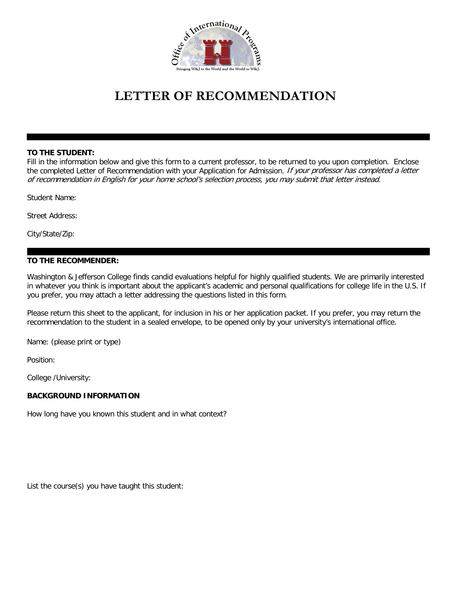

# **LETTER OF RECOMMENDATION**

#### **TO THE STUDENT:**

Fill in the information below and give this form to a current professor, to be returned to you upon completion. Enclose the completed Letter of Recommendation with your Application for Admission. If your professor has completed a letter of recommendation in English for your home school's selection process, you may submit that letter instead.

Student Name:

Street Address:

City/State/Zip:

#### **TO THE RECOMMENDER:**

Washington & Jefferson College finds candid evaluations helpful for highly qualified students. We are primarily interested in whatever you think is important about the applicant's academic and personal qualifications for college life in the U.S. If you prefer, you may attach a letter addressing the questions listed in this form.

Please return this sheet to the applicant, for inclusion in his or her application packet. If you prefer, you may return the recommendation to the student in a sealed envelope, to be opened only by your university's international office.

Name: (please print or type)

Position:

College /University:

#### **BACKGROUND INFORMATION**

How long have you known this student and in what context?

List the course(s) you have taught this student: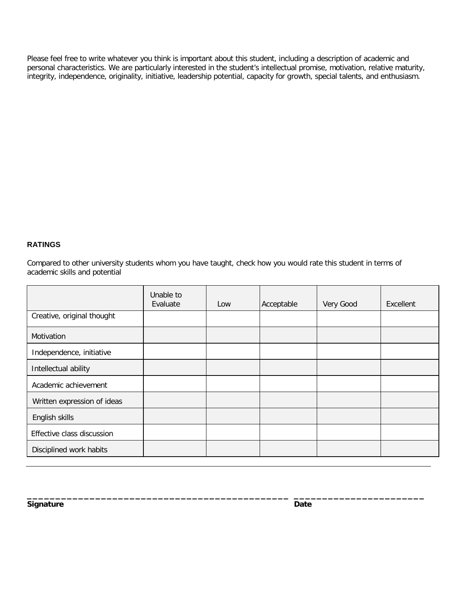Please feel free to write whatever you think is important about this student, including a description of academic and personal characteristics. We are particularly interested in the student's intellectual promise, motivation, relative maturity, integrity, independence, originality, initiative, leadership potential, capacity for growth, special talents, and enthusiasm.

#### **RATINGS**

Compared to other university students whom you have taught, check how you would rate this student in terms of academic skills and potential

|                             | Unable to<br>Evaluate | Low | Acceptable | Very Good | Excellent |
|-----------------------------|-----------------------|-----|------------|-----------|-----------|
| Creative, original thought  |                       |     |            |           |           |
| Motivation                  |                       |     |            |           |           |
| Independence, initiative    |                       |     |            |           |           |
| Intellectual ability        |                       |     |            |           |           |
| Academic achievement        |                       |     |            |           |           |
| Written expression of ideas |                       |     |            |           |           |
| English skills              |                       |     |            |           |           |
| Effective class discussion  |                       |     |            |           |           |
| Disciplined work habits     |                       |     |            |           |           |

**\_\_\_\_\_\_\_\_\_\_\_\_\_\_\_\_\_\_\_\_\_\_\_\_\_\_\_\_\_\_\_\_\_\_\_\_\_\_\_\_\_\_\_\_\_\_ \_\_\_\_\_\_\_\_\_\_\_\_\_\_\_\_\_\_\_\_\_\_\_**

**Signature Date**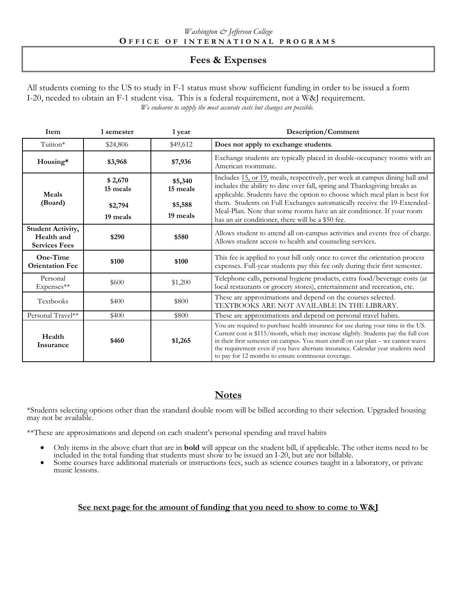# **Fees & Expenses**

All students coming to the US to study in F-1 status must show sufficient funding in order to be issued a form I-20, needed to obtain an F-1 student visa. This is a federal requirement, not a W&J requirement. *We endeavor to supply the most accurate costs but changes are possible.*

| Item                                                           | 1 semester          | 1 year              | Description/Comment                                                                                                                                                                                                                                                                                                                                                                                       |  |
|----------------------------------------------------------------|---------------------|---------------------|-----------------------------------------------------------------------------------------------------------------------------------------------------------------------------------------------------------------------------------------------------------------------------------------------------------------------------------------------------------------------------------------------------------|--|
| Tuition*                                                       | \$24,806            | \$49,612            | Does not apply to exchange students.                                                                                                                                                                                                                                                                                                                                                                      |  |
| Housing*                                                       | \$3,968             | \$7,936             | Exchange students are typically placed in double-occupancy rooms with an<br>American roommate.                                                                                                                                                                                                                                                                                                            |  |
| Meals                                                          | \$2,670<br>15 meals | \$5,340<br>15 meals | Includes 15, or 19, meals, respectively, per week at campus dining hall and<br>includes the ability to dine over fall, spring and Thanksgiving breaks as<br>applicable. Students have the option to choose which meal plan is best for                                                                                                                                                                    |  |
| (Board)<br>\$5,588<br>\$2,794<br>19 meals<br>19 meals          |                     |                     | them. Students on Full Exchanges automatically receive the 19-Extended-<br>Meal-Plan. Note that some rooms have an air conditioner. If your room<br>has an air conditioner, there will be a \$50 fee.                                                                                                                                                                                                     |  |
| <b>Student Activity,</b><br>Health and<br><b>Services Fees</b> | \$290               | \$580               | Allows student to attend all on-campus activities and events free of charge.<br>Allows student access to health and counseling services.                                                                                                                                                                                                                                                                  |  |
| One-Time<br><b>Orientation Fee</b>                             | \$100               | \$100               | This fee is applied to your bill only once to cover the orientation process<br>expenses. Full-year students pay this fee only during their first semester.                                                                                                                                                                                                                                                |  |
| Personal<br>Expenses**                                         | \$600               | \$1,200             | Telephone calls, personal hygiene products, extra food/beverage costs (at<br>local restaurants or grocery stores), entertainment and recreation, etc.                                                                                                                                                                                                                                                     |  |
| Textbooks                                                      | \$400               | \$800               | These are approximations and depend on the courses selected.<br>TEXTBOOKS ARE NOT AVAILABLE IN THE LIBRARY.                                                                                                                                                                                                                                                                                               |  |
| Personal Travel**                                              | \$400               | \$800               | These are approximations and depend on personal travel habits.                                                                                                                                                                                                                                                                                                                                            |  |
| Health<br>Insurance                                            | \$460               | \$1,265             | You are required to purchase health insurance for use during your time in the US.<br>Current cost is \$115/month, which may increase slightly. Students pay the full cost<br>in their first semester on campus. You must enroll on our plan - we cannot waive<br>the requirement even if you have alternate insurance. Calendar year students need<br>to pay for 12 months to ensure continuous coverage. |  |

## **Notes**

\*Students selecting options other than the standard double room will be billed according to their selection. Upgraded housing may not be available.

\*\*These are approximations and depend on each student's personal spending and travel habits

- Only items in the above chart that are in **bold** will appear on the student bill, if applicable. The other items need to be included in the total funding that students must show to be issued an I-20, but are not billable.<br>
- music lessons.

#### **See next page for the amount of funding that you need to show to come to W&J**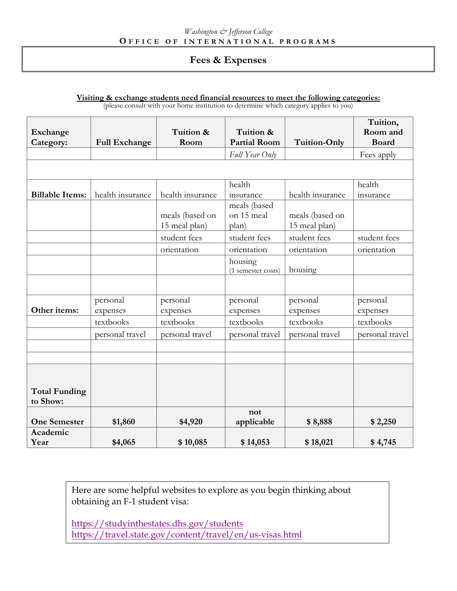## **Fees & Expenses**

| Visiting & exchange students need financial resources to meet the following categories: |  |
|-----------------------------------------------------------------------------------------|--|
| (please consult with your home institution to determine which category applies to you)  |  |

|                                  |                      |                                  |                                     |                                  | Tuition,            |
|----------------------------------|----------------------|----------------------------------|-------------------------------------|----------------------------------|---------------------|
| Exchange                         |                      | Tuition &                        | Tuition &                           |                                  | Room and            |
| Category:                        | <b>Full Exchange</b> | Room                             | <b>Partial Room</b>                 | <b>Tuition-Only</b>              | <b>Board</b>        |
|                                  |                      |                                  | Full Year Only                      |                                  | Fees apply          |
|                                  |                      |                                  |                                     |                                  |                     |
| <b>Billable Items:</b>           | health insurance     | health insurance                 | health<br>insurance                 | health insurance                 | health<br>insurance |
|                                  |                      | meals (based on<br>15 meal plan) | meals (based<br>on 15 meal<br>plan) | meals (based on<br>15 meal plan) |                     |
|                                  |                      | student fees                     | student fees                        | student fees                     | student fees        |
|                                  |                      | orientation                      | orientation                         | orientation                      | orientation         |
|                                  |                      |                                  | housing<br>(1 semester costs)       | housing                          |                     |
|                                  |                      |                                  |                                     |                                  |                     |
|                                  | personal             | personal                         | personal                            | personal                         | personal            |
| Other items:                     | expenses             | expenses                         | expenses                            | expenses                         | expenses            |
|                                  | textbooks            | textbooks                        | textbooks                           | textbooks                        | textbooks           |
|                                  | personal travel      | personal travel                  | personal travel                     | personal travel                  | personal travel     |
|                                  |                      |                                  |                                     |                                  |                     |
|                                  |                      |                                  |                                     |                                  |                     |
| <b>Total Funding</b><br>to Show: |                      |                                  |                                     |                                  |                     |
| <b>One Semester</b>              | \$1,860              | \$4,920                          | not<br>applicable                   | \$8,888                          | \$2,250             |
| Academic<br>Year                 | \$4,065              | \$10,085                         | \$14,053                            | \$18,021                         | \$4,745             |

Here are some helpful websites to explore as you begin thinking about obtaining an F-1 student visa:

<https://studyinthestates.dhs.gov/students> <https://travel.state.gov/content/travel/en/us-visas.html>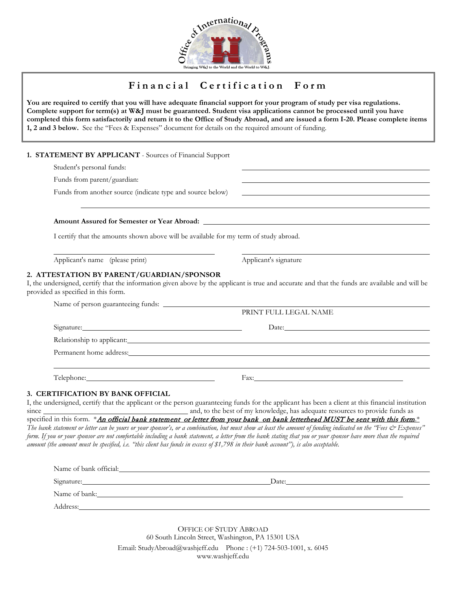

# **F inancial Certification Form**

**You are required to certify that you will have adequate financial support for your program of study per visa regulations. Complete support for term(s) at W&J must be guaranteed. Student visa applications cannot be processed until you have completed this form satisfactorily and return it to the Office of Study Abroad, and are issued a form I-20. Please complete items 1, 2 and 3 below.** See the "Fees & Expenses" document for details on the required amount of funding.

#### **1. STATEMENT BY APPLICANT** - Sources of Financial Support

Student's personal funds:

Funds from parent/guardian:

Funds from another source (indicate type and source below)

#### **Amount Assured for Semester or Year Abroad:**

I certify that the amounts shown above will be available for my term of study abroad.

Applicant's name (please print) Applicant's signature

#### **2. ATTESTATION BY PARENT/GUARDIAN/SPONSOR**

I, the undersigned, certify that the information given above by the applicant is true and accurate and that the funds are available and will be provided as specified in this form.

|                       | PRINT FULL LEGAL NAME                                                                                                                                                                                                         |
|-----------------------|-------------------------------------------------------------------------------------------------------------------------------------------------------------------------------------------------------------------------------|
| Signature: Signature: | Date: No. 2014                                                                                                                                                                                                                |
|                       | Relationship to applicant: New York Changes and September 2014. The second second second second second second second second second second second second second second second second second second second second second second |
|                       | Permanent home address:                                                                                                                                                                                                       |
|                       |                                                                                                                                                                                                                               |
|                       |                                                                                                                                                                                                                               |
|                       |                                                                                                                                                                                                                               |

since and, to the best of my knowledge, has adequate resources to provide funds as specified in this form. \*An official bank statement or letter from your bank on bank letterhead MUST be sent with this form.\* *The bank statement or letter can be yours or your sponsor's, or a combination, but must show at least the amount of funding indicated on the "Fees & Expenses" form. If you or your sponsor are not comfortable including a bank statement, a letter from the bank stating that you or your sponsor have more than the required amount (the amount must be specified, i.e. "this client has funds in excess of \$1,798 in their bank account"), is also acceptable.*

| Name of bank official:                                                                                                              |       |
|-------------------------------------------------------------------------------------------------------------------------------------|-------|
| Signature:<br><u> 1989 - John Stein, mars and der Stein Stein Stein Stein Stein Stein Stein Stein Stein Stein Stein Stein Stein</u> | Date: |
| Name of bank:                                                                                                                       |       |
| Address:                                                                                                                            |       |

OFFICE OF STUDY ABROAD 60 South Lincoln Street, Washington, PA 15301 USA Email: StudyAbroad@washjeff.edu Phone : (+1) 724-503-1001, x. 6045 www.washjeff.edu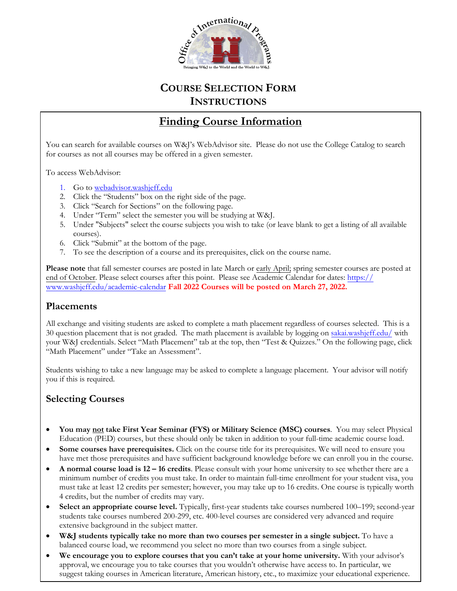

# **COURSE SELECTION FORM INSTRUCTIONS**

# **Finding Course Information**

You can search for available courses on W&J's WebAdvisor site. Please do not use the College Catalog to search for courses as not all courses may be offered in a given semester.

To access WebAdvisor:

- 1. Go to webadvisor.washjeff.edu
- 2. Click the "Students" box on the right side of the page.
- 3. Click "Search [for Sections" on the following page.](https://webadvisor.washjeff.edu/PROD/WebAdvisor?TYPE=M&PID=CORE-WBMAIN&TOKENIDX=2433730728)
- 4. Under "Term" select the semester you will be studying at W&J.
- 5. Under "Subjects" select the course subjects you wish to take (or leave blank to get a listing of all available courses).
- 6. Click "Submit" at the bottom of the page.
- 7. To see the description of a course and its prerequisites, click on the course name.

**Please note** that fall semester courses are posted in late March or early April; spring semester courses are posted at end of October. Please select courses after this point. Please see Academic Calendar for dates: https:// www.washjeff.edu/academic-calendar **Fall 2022 Courses will be posted on March 27, 2022.**

#### **Placements**

All exchange and visiting students are asked to complete a math placement regardless of courses selected. This is a 30 question placement that is not graded. The math placement is available by logging on [sakai.washjeff.edu/](https://sakai.washjeff.edu/) with your W&J credentials. Select "Math Placement" tab at the top, then "Test & Quizzes." On the following page, click "Math Placement" under "Take an Assessment".

Students wishing to take a new language may be asked to complete a language placement. Your advisor will notify you if this is required.

# **Selecting Courses**

- **You may not take First Year Seminar (FYS) or Military Science (MSC) courses**. You may select Physical Education (PED) courses, but these should only be taken in addition to your full-time academic course load.
- Some courses have prerequisites. Click on the course title for its prerequisites. We will need to ensure you have met those prerequisites and have sufficient background knowledge before we can enroll you in the course.
- **A normal course load is 12 16 credits**. Please consult with your home university to see whether there are a minimum number of credits you must take. In order to maintain full-time enrollment for your student visa, you must take at least 12 credits per semester; however, you may take up to 16 credits. One course is typically worth 4 credits, but the number of credits may vary.
- **Select an appropriate course level.** Typically, first-year students take courses numbered 100–199; second-year students take courses numbered 200-299, etc. 400-level courses are considered very advanced and require extensive background in the subject matter.
- **W&J students typically take no more than two courses per semester in a single subject.** To have a balanced course load, we recommend you select no more than two courses from a single subject.
- **We encourage you to explore courses that you can't take at your home university.** With your advisor's approval, we encourage you to take courses that you wouldn't otherwise have access to. In particular, we suggest taking courses in American literature, American history, etc., to maximize your educational experience.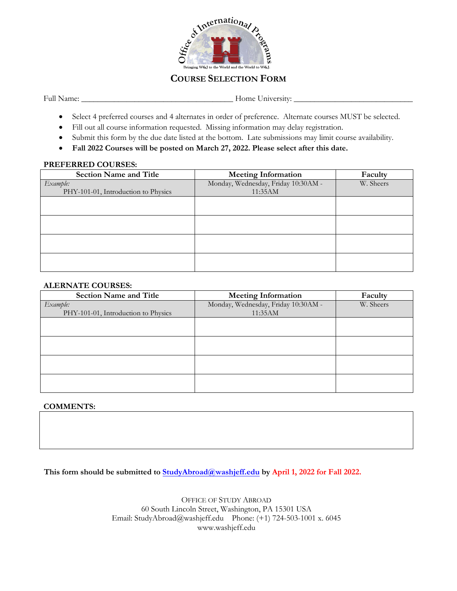

### **COURSE SELECTION FORM**

Full Name: \_\_\_\_\_\_\_\_\_\_\_\_\_\_\_\_\_\_\_\_\_\_\_\_\_\_\_\_\_\_\_\_\_\_\_\_\_ Home University: \_\_\_\_\_\_\_\_\_\_\_\_\_\_\_\_\_\_\_\_\_\_\_\_\_\_\_\_\_

- Select 4 preferred courses and 4 alternates in order of preference. Alternate courses MUST be selected.
- Fill out all course information requested. Missing information may delay registration.
- Submit this form by the due date listed at the bottom. Late submissions may limit course availability.
- **Fall 2022 Courses will be posted on March 27, 2022. Please select after this date.**

#### **PREFERRED COURSES:**

| <b>Section Name and Title</b>       | <b>Meeting Information</b>          | Faculty   |
|-------------------------------------|-------------------------------------|-----------|
| Example:                            | Monday, Wednesday, Friday 10:30AM - | W. Sheers |
| PHY-101-01, Introduction to Physics | 11:35AM                             |           |
|                                     |                                     |           |
|                                     |                                     |           |
|                                     |                                     |           |
|                                     |                                     |           |
|                                     |                                     |           |
|                                     |                                     |           |
|                                     |                                     |           |
|                                     |                                     |           |

#### **ALERNATE COURSES:**

| <b>Section Name and Title</b>       | <b>Meeting Information</b>          | Faculty   |
|-------------------------------------|-------------------------------------|-----------|
| Example:                            | Monday, Wednesday, Friday 10:30AM - | W. Sheers |
| PHY-101-01, Introduction to Physics | 11:35AM                             |           |
|                                     |                                     |           |
|                                     |                                     |           |
|                                     |                                     |           |
|                                     |                                     |           |
|                                     |                                     |           |
|                                     |                                     |           |
|                                     |                                     |           |
|                                     |                                     |           |

#### **COMMENTS:**

**This form should be submitted t[o StudyAbroad@washjeff.edu](mailto:StudyAbroad@washjeff.edu) by April 1, 2022 for Fall 2022.**

OFFICE OF STUDY ABROAD 60 South Lincoln Street, Washington, PA 15301 USA Email: StudyAbroad@washjeff.edu Phone: (+1) 724-503-1001 x. 6045 www.washjeff.edu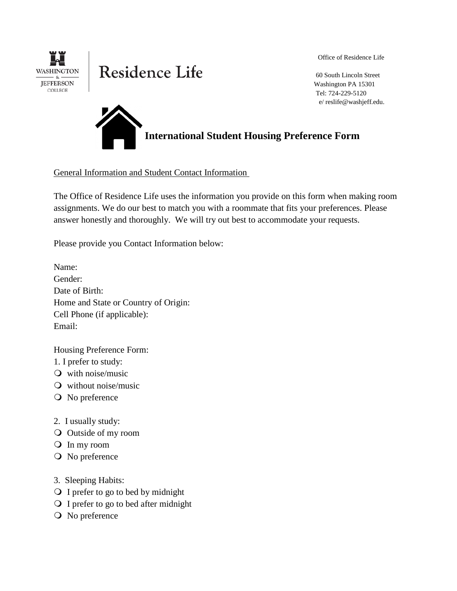

# Residence Life

Office of Residence Life

 60 South Lincoln Street Washington PA 15301 Tel: 724-229-5120 e/ reslife@washjeff.edu.

**2015-2016 International Student Housing Preference Form**

General Information and Student Contact Information

The Office of Residence Life uses the information you provide on this form when making room assignments. We do our best to match you with a roommate that fits your preferences. Please answer honestly and thoroughly. We will try out best to accommodate your requests.

Please provide you Contact Information below:

Name: Gender: Date of Birth: Home and State or Country of Origin: Cell Phone (if applicable): Email:

Housing Preference Form:

1. I prefer to study:

- $\mathbf{\odot}$  with noise/music
- without noise/music
- No preference
- 2. I usually study:
- Outside of my room
- In my room
- O No preference
- 3. Sleeping Habits:
- I prefer to go to bed by midnight
- I prefer to go to bed after midnight
- No preference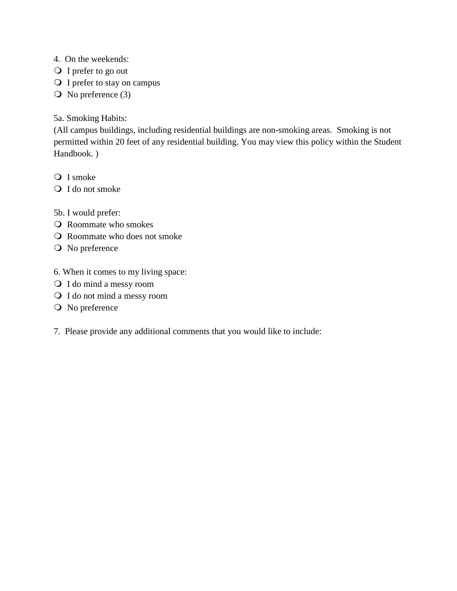4. On the weekends:

- Q I prefer to go out
- I prefer to stay on campus
- $\overline{O}$  No preference (3)

## 5a. Smoking Habits:

(All campus buildings, including residential buildings are non-smoking areas. Smoking is not permitted within 20 feet of any residential building. You may view this policy within the Student Handbook. )

- Q I smoke
- Q I do not smoke
- 5b. I would prefer:
- Roommate who smokes
- Roommate who does not smoke
- O No preference
- 6. When it comes to my living space:
- I do mind a messy room
- I do not mind a messy room
- O No preference
- 7. Please provide any additional comments that you would like to include: